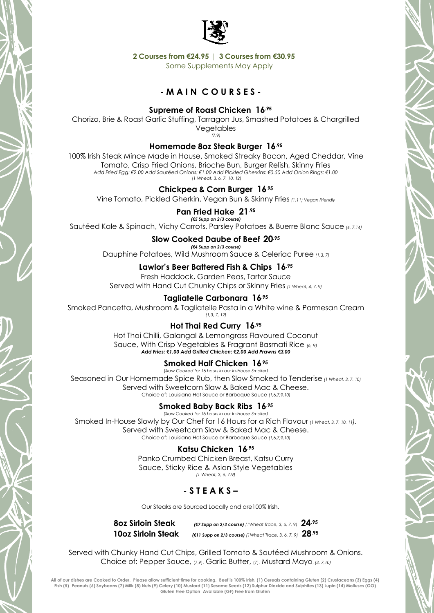

**2 Courses from €24.95 | 3 Courses from €30.95**

Some Supplements May Apply

# **- M A I N C O U R S E S -**

## **Supreme of Roast Chicken 16.95**

Chorizo, Brie & Roast Garlic Stuffing, Tarragon Jus, Smashed Potatoes & Chargrilled Vegetables *(7,9)*

### **Homemade 8oz Steak Burger 16.95**

100% Irish Steak Mince Made in House, Smoked Streaky Bacon, Aged Cheddar, Vine Tomato, Crisp Fried Onions, Brioche Bun, Burger Relish, Skinny Fries *Add Fried Egg: €2.00 Add Sautéed Onions: €1.00 Add Pickled Gherkins: €0.50 Add Onion Rings: €1.00* (*1 Wheat, 3, 6, 7, 10, 12)*

### **Chickpea & Corn Burger 16.<sup>95</sup>**

Vine Tomato, Pickled Gherkin, Vegan Bun & Skinny Fries *(1,11) Vegan Friendly*

## **Pan Fried Hake 21.95**

*(€5 Supp on 2/3 course)* Sautéed Kale & Spinach, Vichy Carrots, Parsley Potatoes & Buerre Blanc Sauce *(4, 7,14)*

### **Slow Cooked Daube of Beef 20.95**

*(€4 Supp on 2/3 course)* Dauphine Potatoes, Wild Mushroom Sauce & Celeriac Puree *(1,3, 7)*

# **Lawlor's Beer Battered Fish & Chips 16.95**

Fresh Haddock, Garden Peas, Tartar Sauce Served with Hand Cut Chunky Chips or Skinny Fries *(1 Wheat, 4, 7, 9)*

# **Tagliatelle Carbonara 16.<sup>95</sup>**

Smoked Pancetta, Mushroom & Tagliatelle Pasta in a White wine & Parmesan Cream *(1,3, 7, 12)*

# **Hot Thai Red Curry 16.95**

Hot Thai Chilli, Galangal & Lemongrass Flavoured Coconut Sauce, With Crisp Vegetables & Fragrant Basmati Rice *(6, 9) Add Fries: €1.00 Add Grilled Chicken: €2.00 Add Prawns €3.00*

# **Smoked Half Chicken 16.<sup>95</sup>**

(*Slow Cooked for 16 hours in our In-House Smoker)* Seasoned in Our Homemade Spice Rub, then Slow Smoked to Tenderise *(1 Wheat, 3, 7, 10)* Served with Sweetcorn Slaw & Baked Mac & Cheese. Choice of: Louisiana Hot Sauce or Barbeque Sauce *(1,6,7,9,10)*

## **Smoked Baby Back Ribs 16.95**

*(Slow Cooked for 16 hours in our In-House Smoker)* Smoked In-House Slowly by Our Chef for 16 Hours for a Rich Flavour *(1 Wheat, 3, 7, 10, <sup>11</sup>).* Served with Sweetcorn Slaw & Baked Mac & Cheese. Choice of: Louisiana Hot Sauce or Barbeque Sauce *(1,6,7,9,10)*

## **Katsu Chicken 16.95**

Panko Crumbed Chicken Breast, Katsu Curry Sauce, Sticky Rice & Asian Style Vegetables *(1 Wheat, 3, 6, 7,9)*

# **- S T E A K S –**

Our Steaks are Sourced Locally and are100% Irish.

**8oz Sirloin Steak** *(€7 Supp on 2/3 course) (1Wheat Trace, 3, 6, 7, 9)* **24.95 10oz Sirloin Steak** *(€11 Supp on 2/3 course) (1Wheat Trace, 3, 6, 7, 9)* **28.95**

Served with Chunky Hand Cut Chips, Grilled Tomato & Sautéed Mushroom & Onions. Choice of: Pepper Sauce, (7,9), Garlic Butter, (7), Mustard Mayo, *(3, 7,10)*

**All of our dishes are Cooked to Order. Please allow sufficient time for cooking. Beef is 100% Irish. (1) Cereals containing Gluten (2) Crustaceans (3) Eggs (4)**  Fish (5) Peanuts (6) Soybeans (7) Milk (8) Nuts (9) Celery (10) Mustard (11) Sesame Seeds (12) Sulphur Dioxide and Sulphites (13) Lupin (14) Molluscs (GO) **Gluten Free Option Available (GF) Free from Gluten**